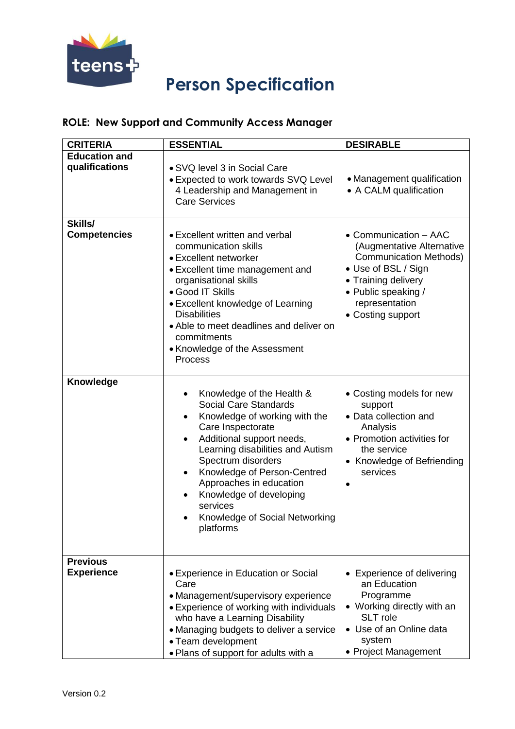

## **Person Specification**

## **ROLE: New Support and Community Access Manager**

| <b>CRITERIA</b>                        | <b>ESSENTIAL</b>                                                                                                                                                                                                                                                                                                                                                                 | <b>DESIRABLE</b>                                                                                                                                                                                |
|----------------------------------------|----------------------------------------------------------------------------------------------------------------------------------------------------------------------------------------------------------------------------------------------------------------------------------------------------------------------------------------------------------------------------------|-------------------------------------------------------------------------------------------------------------------------------------------------------------------------------------------------|
| <b>Education and</b><br>qualifications | • SVQ level 3 in Social Care                                                                                                                                                                                                                                                                                                                                                     |                                                                                                                                                                                                 |
|                                        | • Expected to work towards SVQ Level<br>4 Leadership and Management in<br><b>Care Services</b>                                                                                                                                                                                                                                                                                   | • Management qualification<br>• A CALM qualification                                                                                                                                            |
| Skills/                                |                                                                                                                                                                                                                                                                                                                                                                                  |                                                                                                                                                                                                 |
| <b>Competencies</b>                    | • Excellent written and verbal<br>communication skills<br>• Excellent networker<br>• Excellent time management and<br>organisational skills<br>• Good IT Skills<br>• Excellent knowledge of Learning<br><b>Disabilities</b><br>• Able to meet deadlines and deliver on<br>commitments<br>• Knowledge of the Assessment<br>Process                                                | • Communication - AAC<br>(Augmentative Alternative<br><b>Communication Methods)</b><br>• Use of BSL / Sign<br>• Training delivery<br>• Public speaking /<br>representation<br>• Costing support |
| <b>Knowledge</b>                       | Knowledge of the Health &<br><b>Social Care Standards</b><br>Knowledge of working with the<br>Care Inspectorate<br>Additional support needs,<br>$\bullet$<br>Learning disabilities and Autism<br>Spectrum disorders<br>Knowledge of Person-Centred<br>$\bullet$<br>Approaches in education<br>Knowledge of developing<br>services<br>Knowledge of Social Networking<br>platforms | • Costing models for new<br>support<br>• Data collection and<br>Analysis<br>• Promotion activities for<br>the service<br>• Knowledge of Befriending<br>services<br>$\bullet$                    |
| <b>Previous</b><br><b>Experience</b>   | • Experience in Education or Social<br>Care<br>• Management/supervisory experience<br>• Experience of working with individuals<br>who have a Learning Disability<br>• Managing budgets to deliver a service<br>• Team development<br>. Plans of support for adults with a                                                                                                        | • Experience of delivering<br>an Education<br>Programme<br>• Working directly with an<br>SLT role<br>• Use of an Online data<br>system<br>• Project Management                                  |